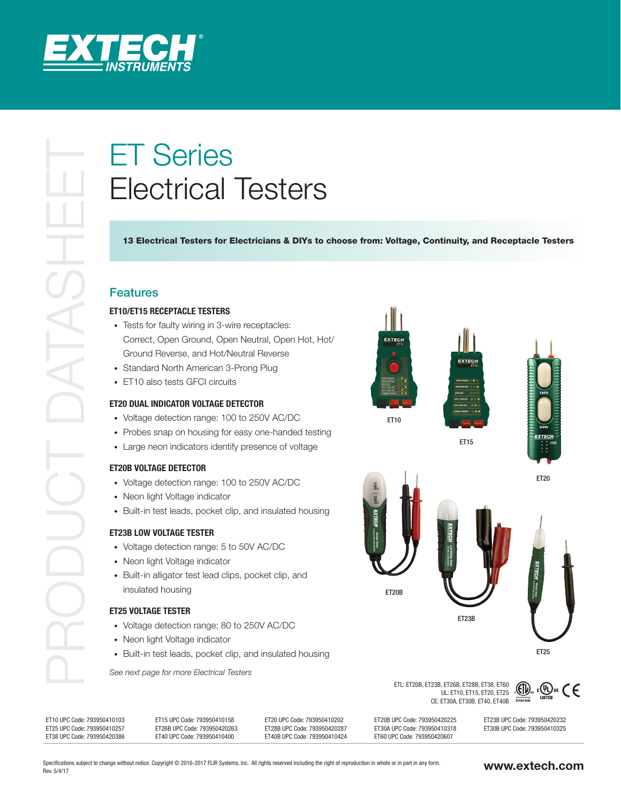

# Electrical Testers

13 Electrical Testers for Electricians & DIYs to choose from: Voltage, Continuity, and Receptacle Testers

# Features

## **ET10/ET15 RECEPTACLE TESTERS**

- Tests for faulty wiring in 3-wire receptacles: Correct, Open Ground, Open Neutral, Open Hot, Hot/ Ground Reverse, and Hot/Neutral Reverse
- Standard North American 3-Prong Plug
- ET10 also tests GFCI circuits

# **ET20 DUAL INDICATOR VOLTAGE DETECTOR**

- Voltage detection range: 100 to 250V AC/DC
- Probes snap on housing for easy one-handed testing
- Large neon indicators identify presence of voltage

### **ET20B VOLTAGE DETECTOR**

- Voltage detection range: 100 to 250V AC/DC
- Neon light Voltage indicator
- Built-in test leads, pocket clip, and insulated housing

### **ET23B LOW VOLTAGE TESTER**

- Voltage detection range: 5 to 50V AC/DC
- Neon light Voltage indicator
- Built-in alligator test lead clips, pocket clip, and insulated housing

# **ET25 VOLTAGE TESTER**

- Voltage detection range: 80 to 250V AC/DC
- Neon light Voltage indicator
- Built-in test leads, pocket clip, and insulated housing

*See next page for more Electrical Testers*



ETL: ET20B, ET23B, ET26B, ET28B, ET38, ET60 L, L. Lob, ET20B, ET38, ET60<br>UL: ET10, ET15, ET20, ET25 CE: ET30A, ET30B, ET40, ET40B Intertek



| ET15 UPC Code: 793950410158<br>ET10 UPC Code: 793950410103<br>ET25 UPC Code: 793950410257<br>ET26B UPC Code: 793950420263<br>ET40 UPC Code: 793950410400<br>ET38 UPC Code: 793950420386 | ET20 UPC Code: 793950410202<br>ET28B UPC Code: 793950420287<br>ET40B UPC Code: 793950410424 | ET20B UPC Code: 793950420225<br>ET30A UPC Code: 793950410318<br>ET60 UPC Code: 793950420607 | ET23B UPC Code: 793950420232<br>ET30B UPC Code: 793950410325 |
|-----------------------------------------------------------------------------------------------------------------------------------------------------------------------------------------|---------------------------------------------------------------------------------------------|---------------------------------------------------------------------------------------------|--------------------------------------------------------------|
|-----------------------------------------------------------------------------------------------------------------------------------------------------------------------------------------|---------------------------------------------------------------------------------------------|---------------------------------------------------------------------------------------------|--------------------------------------------------------------|